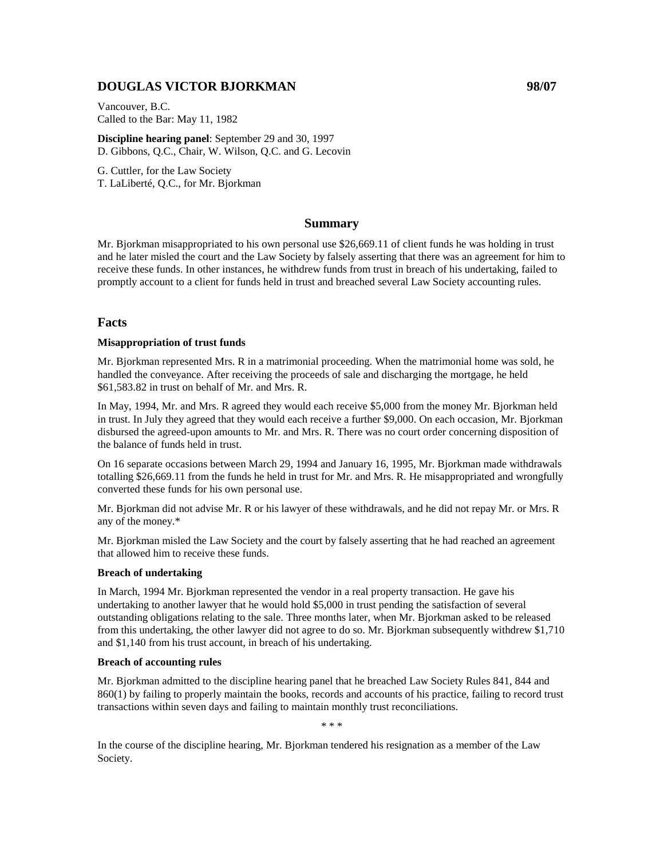## **DOUGLAS VICTOR BJORKMAN 98/07**

Vancouver, B.C. Called to the Bar: May 11, 1982

**Discipline hearing panel**: September 29 and 30, 1997 D. Gibbons, Q.C., Chair, W. Wilson, Q.C. and G. Lecovin

G. Cuttler, for the Law Society T. LaLiberté, Q.C., for Mr. Bjorkman

### **Summary**

Mr. Bjorkman misappropriated to his own personal use \$26,669.11 of client funds he was holding in trust and he later misled the court and the Law Society by falsely asserting that there was an agreement for him to receive these funds. In other instances, he withdrew funds from trust in breach of his undertaking, failed to promptly account to a client for funds held in trust and breached several Law Society accounting rules.

### **Facts**

#### **Misappropriation of trust funds**

Mr. Bjorkman represented Mrs. R in a matrimonial proceeding. When the matrimonial home was sold, he handled the conveyance. After receiving the proceeds of sale and discharging the mortgage, he held \$61,583.82 in trust on behalf of Mr. and Mrs. R.

In May, 1994, Mr. and Mrs. R agreed they would each receive \$5,000 from the money Mr. Bjorkman held in trust. In July they agreed that they would each receive a further \$9,000. On each occasion, Mr. Bjorkman disbursed the agreed-upon amounts to Mr. and Mrs. R. There was no court order concerning disposition of the balance of funds held in trust.

On 16 separate occasions between March 29, 1994 and January 16, 1995, Mr. Bjorkman made withdrawals totalling \$26,669.11 from the funds he held in trust for Mr. and Mrs. R. He misappropriated and wrongfully converted these funds for his own personal use.

Mr. Bjorkman did not advise Mr. R or his lawyer of these withdrawals, and he did not repay Mr. or Mrs. R any of the money.\*

Mr. Bjorkman misled the Law Society and the court by falsely asserting that he had reached an agreement that allowed him to receive these funds.

#### **Breach of undertaking**

In March, 1994 Mr. Bjorkman represented the vendor in a real property transaction. He gave his undertaking to another lawyer that he would hold \$5,000 in trust pending the satisfaction of several outstanding obligations relating to the sale. Three months later, when Mr. Bjorkman asked to be released from this undertaking, the other lawyer did not agree to do so. Mr. Bjorkman subsequently withdrew \$1,710 and \$1,140 from his trust account, in breach of his undertaking.

#### **Breach of accounting rules**

Mr. Bjorkman admitted to the discipline hearing panel that he breached Law Society Rules 841, 844 and 860(1) by failing to properly maintain the books, records and accounts of his practice, failing to record trust transactions within seven days and failing to maintain monthly trust reconciliations.

\* \* \*

In the course of the discipline hearing, Mr. Bjorkman tendered his resignation as a member of the Law Society.